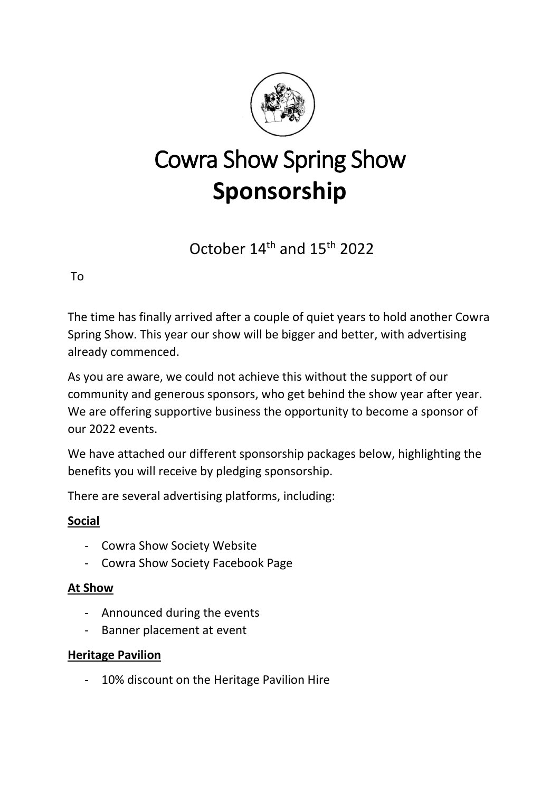

# Cowra Show Spring Show **Sponsorship**

October 14th and 15th 2022

To

The time has finally arrived after a couple of quiet years to hold another Cowra Spring Show. This year our show will be bigger and better, with advertising already commenced.

As you are aware, we could not achieve this without the support of our community and generous sponsors, who get behind the show year after year. We are offering supportive business the opportunity to become a sponsor of our 2022 events.

We have attached our different sponsorship packages below, highlighting the benefits you will receive by pledging sponsorship.

There are several advertising platforms, including:

## **Social**

- Cowra Show Society Website
- Cowra Show Society Facebook Page

## **At Show**

- Announced during the events
- Banner placement at event

## **Heritage Pavilion**

- 10% discount on the Heritage Pavilion Hire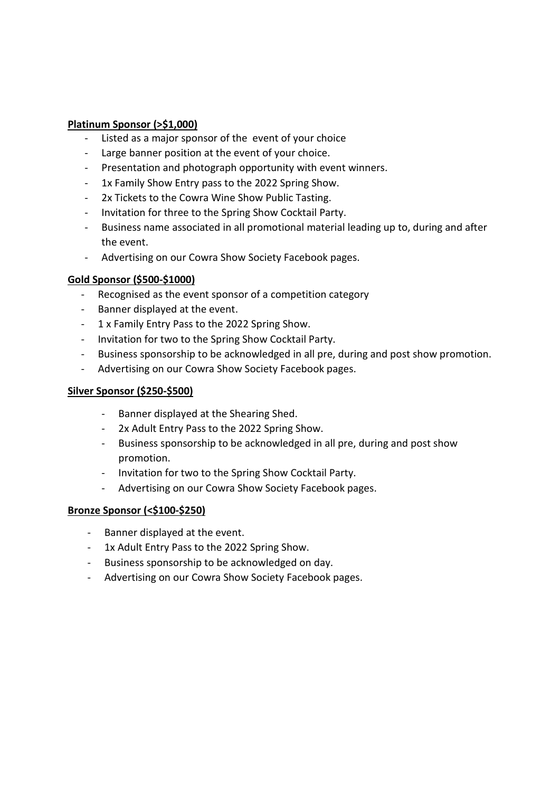#### **Platinum Sponsor (>\$1,000)**

- Listed as a major sponsor of the event of your choice
- Large banner position at the event of your choice.
- Presentation and photograph opportunity with event winners.
- 1x Family Show Entry pass to the 2022 Spring Show.
- 2x Tickets to the Cowra Wine Show Public Tasting.
- Invitation for three to the Spring Show Cocktail Party.
- Business name associated in all promotional material leading up to, during and after the event.
- Advertising on our Cowra Show Society Facebook pages.

#### **Gold Sponsor (\$500-\$1000)**

- Recognised as the event sponsor of a competition category
- Banner displayed at the event.
- 1 x Family Entry Pass to the 2022 Spring Show.
- Invitation for two to the Spring Show Cocktail Party.
- Business sponsorship to be acknowledged in all pre, during and post show promotion.
- Advertising on our Cowra Show Society Facebook pages.

#### **Silver Sponsor (\$250-\$500)**

- Banner displayed at the Shearing Shed.
- 2x Adult Entry Pass to the 2022 Spring Show.
- Business sponsorship to be acknowledged in all pre, during and post show promotion.
- Invitation for two to the Spring Show Cocktail Party.
- Advertising on our Cowra Show Society Facebook pages.

#### **Bronze Sponsor (<\$100-\$250)**

- Banner displayed at the event.
- 1x Adult Entry Pass to the 2022 Spring Show.
- Business sponsorship to be acknowledged on day.
- Advertising on our Cowra Show Society Facebook pages.